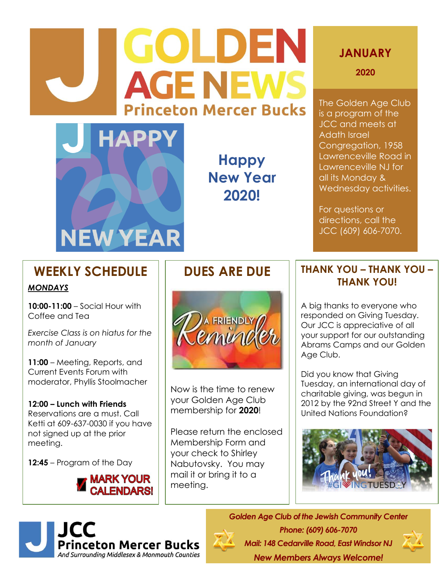# **GOLDEN AGE NEW Princeton Mercer Bucks**



**Happy New Year 2020!**

## **JANUARY**

**2020**

The Golden Age Club is a program of the JCC and meets at Adath Israel Congregation, 1958 Lawrenceville Road in Lawrenceville NJ for all its Monday & Wednesday activities.

For questions or directions, call the JCC (609) 606-7070.

# **WEEKLY SCHEDULE**

### *MONDAYS*

**10:00-11:00** – Social Hour with Coffee and Tea

*Exercise Class is on hiatus for the month of January*

**11:00** – Meeting, Reports, and Current Events Forum with moderator, Phyllis Stoolmacher

**12:00 – Lunch with Friends** Reservations are a must. Call Ketti at 609-637-0030 if you have not signed up at the prior meeting.

**12:45** – Program of the Day



## **DUES ARE DUE**



Now is the time to renew your Golden Age Club membership for **2020**!

Please return the enclosed Membership Form and your check to Shirley Nabutovsky. You may mail it or bring it to a meeting.

## **THANK YOU – THANK YOU – THANK YOU!**

A big thanks to everyone who responded on Giving Tuesday. Our JCC is appreciative of all your support for our outstanding Abrams Camps and our Golden Age Club.

Did you know that Giving Tuesday, an international day of charitable giving, was begun in 2012 by the 92nd Street Y and the United Nations Foundation?





*Phone: (609) 606-7070 Mail: 148 Cedarville Road, East Windsor NJ New Members Always Welcome!*

*Golden Age Club of the Jewish Community Center*